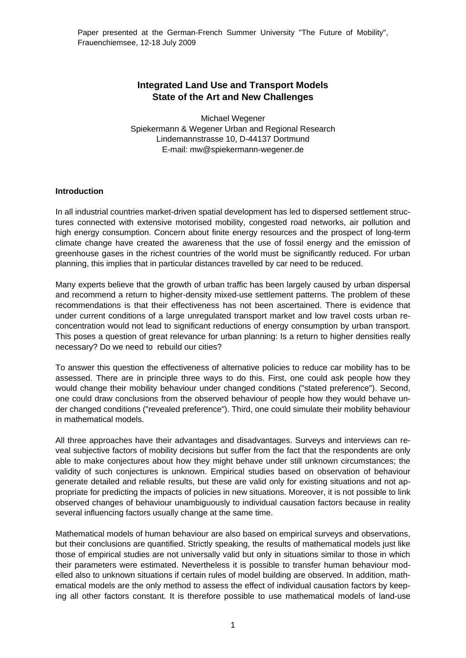# **Integrated Land Use and Transport Models State of the Art and New Challenges**

Michael Wegener Spiekermann & Wegener Urban and Regional Research Lindemannstrasse 10, D-44137 Dortmund E-mail: mw@spiekermann-wegener.de

### **Introduction**

In all industrial countries market-driven spatial development has led to dispersed settlement structures connected with extensive motorised mobility, congested road networks, air pollution and high energy consumption. Concern about finite energy resources and the prospect of long-term climate change have created the awareness that the use of fossil energy and the emission of greenhouse gases in the richest countries of the world must be significantly reduced. For urban planning, this implies that in particular distances travelled by car need to be reduced.

Many experts believe that the growth of urban traffic has been largely caused by urban dispersal and recommend a return to higher-density mixed-use settlement patterns. The problem of these recommendations is that their effectiveness has not been ascertained. There is evidence that under current conditions of a large unregulated transport market and low travel costs urban reconcentration would not lead to significant reductions of energy consumption by urban transport. This poses a question of great relevance for urban planning: Is a return to higher densities really necessary? Do we need to rebuild our cities?

To answer this question the effectiveness of alternative policies to reduce car mobility has to be assessed. There are in principle three ways to do this. First, one could ask people how they would change their mobility behaviour under changed conditions ("stated preference"). Second, one could draw conclusions from the observed behaviour of people how they would behave under changed conditions ("revealed preference"). Third, one could simulate their mobility behaviour in mathematical models.

All three approaches have their advantages and disadvantages. Surveys and interviews can reveal subjective factors of mobility decisions but suffer from the fact that the respondents are only able to make conjectures about how they might behave under still unknown circumstances; the validity of such conjectures is unknown. Empirical studies based on observation of behaviour generate detailed and reliable results, but these are valid only for existing situations and not appropriate for predicting the impacts of policies in new situations. Moreover, it is not possible to link observed changes of behaviour unambiguously to individual causation factors because in reality several influencing factors usually change at the same time.

Mathematical models of human behaviour are also based on empirical surveys and observations, but their conclusions are quantified. Strictly speaking, the results of mathematical models just like those of empirical studies are not universally valid but only in situations similar to those in which their parameters were estimated. Nevertheless it is possible to transfer human behaviour modelled also to unknown situations if certain rules of model building are observed. In addition, mathematical models are the only method to assess the effect of individual causation factors by keeping all other factors constant. It is therefore possible to use mathematical models of land-use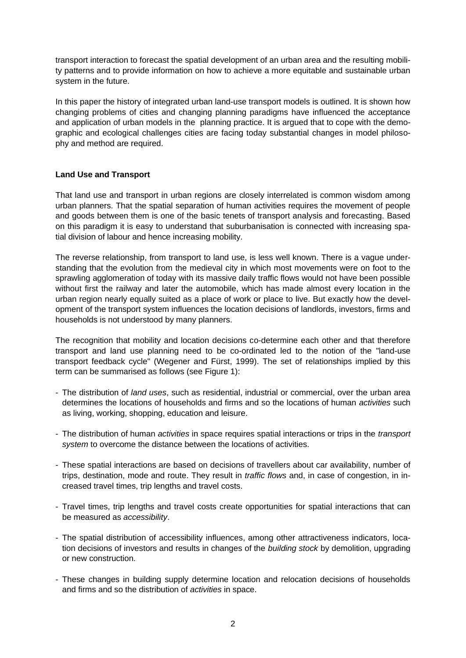transport interaction to forecast the spatial development of an urban area and the resulting mobility patterns and to provide information on how to achieve a more equitable and sustainable urban system in the future.

In this paper the history of integrated urban land-use transport models is outlined. It is shown how changing problems of cities and changing planning paradigms have influenced the acceptance and application of urban models in the planning practice. It is argued that to cope with the demographic and ecological challenges cities are facing today substantial changes in model philosophy and method are required.

## **Land Use and Transport**

That land use and transport in urban regions are closely interrelated is common wisdom among urban planners. That the spatial separation of human activities requires the movement of people and goods between them is one of the basic tenets of transport analysis and forecasting. Based on this paradigm it is easy to understand that suburbanisation is connected with increasing spatial division of labour and hence increasing mobility.

The reverse relationship, from transport to land use, is less well known. There is a vague understanding that the evolution from the medieval city in which most movements were on foot to the sprawling agglomeration of today with its massive daily traffic flows would not have been possible without first the railway and later the automobile, which has made almost every location in the urban region nearly equally suited as a place of work or place to live. But exactly how the development of the transport system influences the location decisions of landlords, investors, firms and households is not understood by many planners.

The recognition that mobility and location decisions co-determine each other and that therefore transport and land use planning need to be co-ordinated led to the notion of the "land-use transport feedback cycle" (Wegener and Fürst, 1999). The set of relationships implied by this term can be summarised as follows (see Figure 1):

- The distribution of *land uses*, such as residential, industrial or commercial, over the urban area determines the locations of households and firms and so the locations of human *activities* such as living, working, shopping, education and leisure.
- The distribution of human *activities* in space requires spatial interactions or trips in the *transport system* to overcome the distance between the locations of activities.
- These spatial interactions are based on decisions of travellers about car availability, number of trips, destination, mode and route. They result in *traffic flows* and, in case of congestion, in increased travel times, trip lengths and travel costs.
- Travel times, trip lengths and travel costs create opportunities for spatial interactions that can be measured as *accessibility*.
- The spatial distribution of accessibility influences, among other attractiveness indicators, location decisions of investors and results in changes of the *building stock* by demolition, upgrading or new construction.
- These changes in building supply determine location and relocation decisions of households and firms and so the distribution of *activities* in space.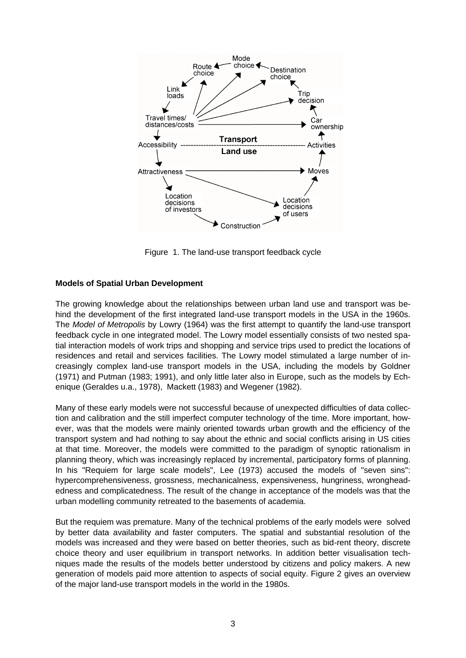

Figure 1. The land-use transport feedback cycle

# **Models of Spatial Urban Development**

The growing knowledge about the relationships between urban land use and transport was behind the development of the first integrated land-use transport models in the USA in the 1960s. The *Model of Metropolis* by Lowry (1964) was the first attempt to quantify the land-use transport feedback cycle in one integrated model. The Lowry model essentially consists of two nested spatial interaction models of work trips and shopping and service trips used to predict the locations of residences and retail and services facilities. The Lowry model stimulated a large number of increasingly complex land-use transport models in the USA, including the models by Goldner (1971) and Putman (1983; 1991), and only little later also in Europe, such as the models by Echenique (Geraldes u.a., 1978), Mackett (1983) and Wegener (1982).

Many of these early models were not successful because of unexpected difficulties of data collection and calibration and the still imperfect computer technology of the time. More important, however, was that the models were mainly oriented towards urban growth and the efficiency of the transport system and had nothing to say about the ethnic and social conflicts arising in US cities at that time. Moreover, the models were committed to the paradigm of synoptic rationalism in planning theory, which was increasingly replaced by incremental, participatory forms of planning. In his "Requiem for large scale models", Lee (1973) accused the models of "seven sins": hypercomprehensiveness, grossness, mechanicalness, expensiveness, hungriness, wrongheadedness and complicatedness. The result of the change in acceptance of the models was that the urban modelling community retreated to the basements of academia.

But the requiem was premature. Many of the technical problems of the early models were solved by better data availability and faster computers. The spatial and substantial resolution of the models was increased and they were based on better theories, such as bid-rent theory, discrete choice theory and user equilibrium in transport networks. In addition better visualisation techniques made the results of the models better understood by citizens and policy makers. A new generation of models paid more attention to aspects of social equity. Figure 2 gives an overview of the major land-use transport models in the world in the 1980s.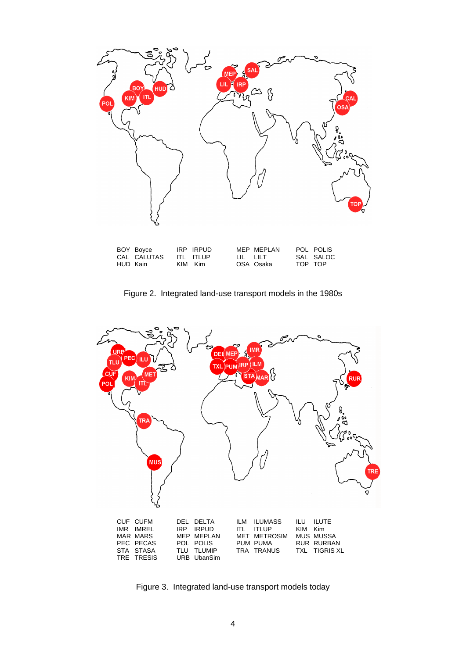

Figure 2. Integrated land-use transport models in the 1980s



Figure 3. Integrated land-use transport models today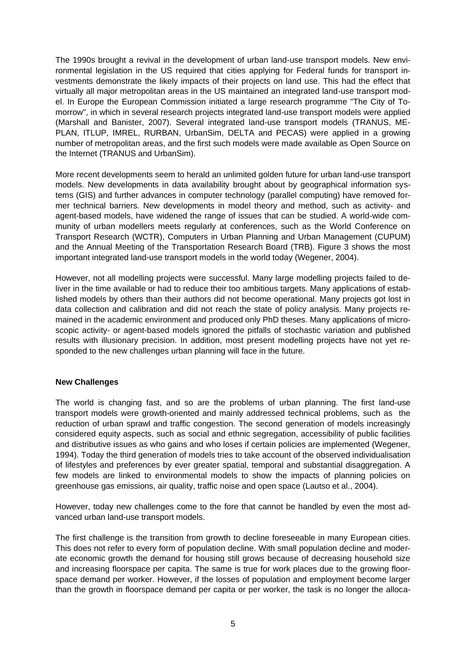The 1990s brought a revival in the development of urban land-use transport models. New environmental legislation in the US required that cities applying for Federal funds for transport investments demonstrate the likely impacts of their projects on land use. This had the effect that virtually all major metropolitan areas in the US maintained an integrated land-use transport model. In Europe the European Commission initiated a large research programme "The City of Tomorrow", in which in several research projects integrated land-use transport models were applied (Marshall and Banister, 2007). Several integrated land-use transport models (TRANUS, ME-PLAN, ITLUP, IMREL, RURBAN, UrbanSim, DELTA and PECAS) were applied in a growing number of metropolitan areas, and the first such models were made available as Open Source on the Internet (TRANUS and UrbanSim).

More recent developments seem to herald an unlimited golden future for urban land-use transport models. New developments in data availability brought about by geographical information systems (GIS) and further advances in computer technology (parallel computing) have removed former technical barriers. New developments in model theory and method, such as activity- and agent-based models, have widened the range of issues that can be studied. A world-wide community of urban modellers meets regularly at conferences, such as the World Conference on Transport Research (WCTR), Computers in Urban Planning and Urban Management (CUPUM) and the Annual Meeting of the Transportation Research Board (TRB). Figure 3 shows the most important integrated land-use transport models in the world today (Wegener, 2004).

However, not all modelling projects were successful. Many large modelling projects failed to deliver in the time available or had to reduce their too ambitious targets. Many applications of established models by others than their authors did not become operational. Many projects got lost in data collection and calibration and did not reach the state of policy analysis. Many projects remained in the academic environment and produced only PhD theses. Many applications of microscopic activity- or agent-based models ignored the pitfalls of stochastic variation and published results with illusionary precision. In addition, most present modelling projects have not yet responded to the new challenges urban planning will face in the future.

## **New Challenges**

The world is changing fast, and so are the problems of urban planning. The first land-use transport models were growth-oriented and mainly addressed technical problems, such as the reduction of urban sprawl and traffic congestion. The second generation of models increasingly considered equity aspects, such as social and ethnic segregation, accessibility of public facilities and distributive issues as who gains and who loses if certain policies are implemented (Wegener, 1994). Today the third generation of models tries to take account of the observed individualisation of lifestyles and preferences by ever greater spatial, temporal and substantial disaggregation. A few models are linked to environmental models to show the impacts of planning policies on greenhouse gas emissions, air quality, traffic noise and open space (Lautso et al., 2004).

However, today new challenges come to the fore that cannot be handled by even the most advanced urban land-use transport models.

The first challenge is the transition from growth to decline foreseeable in many European cities. This does not refer to every form of population decline. With small population decline and moderate economic growth the demand for housing still grows because of decreasing household size and increasing floorspace per capita. The same is true for work places due to the growing floorspace demand per worker. However, if the losses of population and employment become larger than the growth in floorspace demand per capita or per worker, the task is no longer the alloca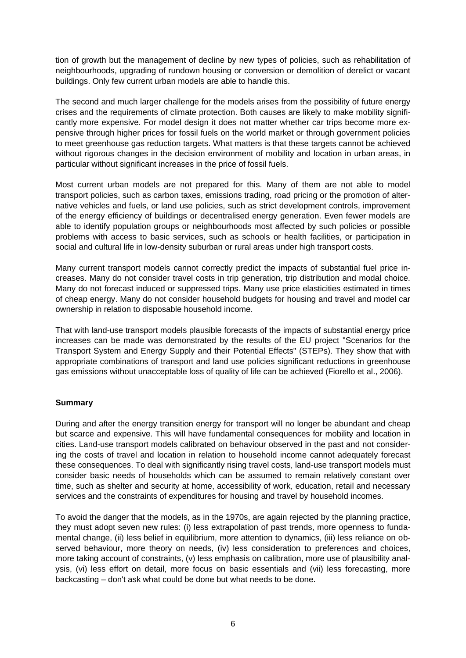tion of growth but the management of decline by new types of policies, such as rehabilitation of neighbourhoods, upgrading of rundown housing or conversion or demolition of derelict or vacant buildings. Only few current urban models are able to handle this.

The second and much larger challenge for the models arises from the possibility of future energy crises and the requirements of climate protection. Both causes are likely to make mobility significantly more expensive. For model design it does not matter whether car trips become more expensive through higher prices for fossil fuels on the world market or through government policies to meet greenhouse gas reduction targets. What matters is that these targets cannot be achieved without rigorous changes in the decision environment of mobility and location in urban areas, in particular without significant increases in the price of fossil fuels.

Most current urban models are not prepared for this. Many of them are not able to model transport policies, such as carbon taxes, emissions trading, road pricing or the promotion of alternative vehicles and fuels, or land use policies, such as strict development controls, improvement of the energy efficiency of buildings or decentralised energy generation. Even fewer models are able to identify population groups or neighbourhoods most affected by such policies or possible problems with access to basic services, such as schools or health facilities, or participation in social and cultural life in low-density suburban or rural areas under high transport costs.

Many current transport models cannot correctly predict the impacts of substantial fuel price increases. Many do not consider travel costs in trip generation, trip distribution and modal choice. Many do not forecast induced or suppressed trips. Many use price elasticities estimated in times of cheap energy. Many do not consider household budgets for housing and travel and model car ownership in relation to disposable household income.

That with land-use transport models plausible forecasts of the impacts of substantial energy price increases can be made was demonstrated by the results of the EU project "Scenarios for the Transport System and Energy Supply and their Potential Effects" (STEPs). They show that with appropriate combinations of transport and land use policies significant reductions in greenhouse gas emissions without unacceptable loss of quality of life can be achieved (Fiorello et al., 2006).

## **Summary**

During and after the energy transition energy for transport will no longer be abundant and cheap but scarce and expensive. This will have fundamental consequences for mobility and location in cities. Land-use transport models calibrated on behaviour observed in the past and not considering the costs of travel and location in relation to household income cannot adequately forecast these consequences. To deal with significantly rising travel costs, land-use transport models must consider basic needs of households which can be assumed to remain relatively constant over time, such as shelter and security at home, accessibility of work, education, retail and necessary services and the constraints of expenditures for housing and travel by household incomes.

To avoid the danger that the models, as in the 1970s, are again rejected by the planning practice, they must adopt seven new rules: (i) less extrapolation of past trends, more openness to fundamental change, (ii) less belief in equilibrium, more attention to dynamics, (iii) less reliance on observed behaviour, more theory on needs, (iv) less consideration to preferences and choices, more taking account of constraints, (v) less emphasis on calibration, more use of plausibility analysis, (vi) less effort on detail, more focus on basic essentials and (vii) less forecasting, more backcasting – don't ask what could be done but what needs to be done.